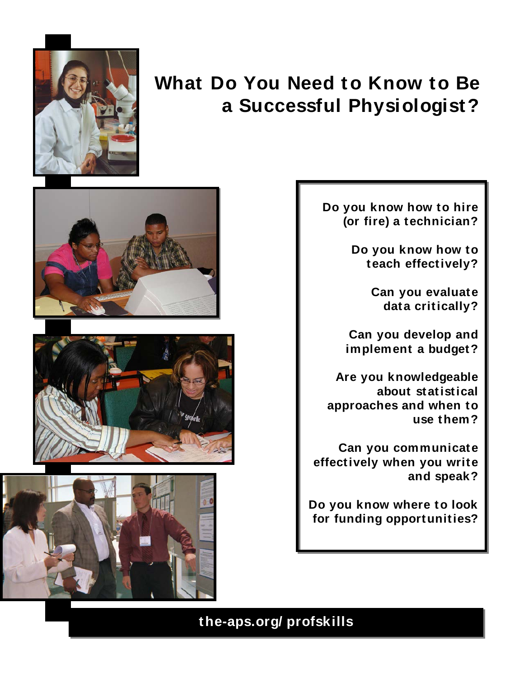

# **What Do You Need to Know to Be a Successful Physiologist?**







**Do you know how to hire (or fire) a technician?**

> **Do you know how to teach effectively?**

> > **Can you evaluate data critically?**

**Can you develop and implement a budget?**

**Are you knowledgeable about statistical approaches and when to use them?**

**Can you communicate effectively when you write and speak?**

**Do you know where to look for funding opportunities?**

**the-aps.org/ profskills**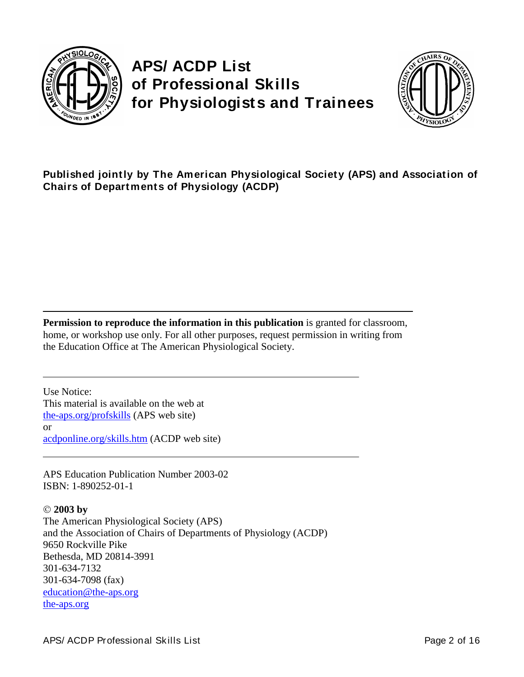

# **APS/ ACDP List of Professional Skills for Physiologists and Trainees**



**Published jointly by The American Physiological Society (APS) and Association of Chairs of Departments of Physiology (ACDP)**

**Permission to reproduce the information in this publication** is granted for classroom, home, or workshop use only. For all other purposes, request permission in writing from the Education Office at The American Physiological Society.

Use Notice: This material is available on the web at [the-aps.org/profskills](http://www.the-aps.org/education/skills.htm) (APS web site) or [acdponline.org/skills.htm](http://www.acdponline.org/skills.htm) (ACDP web site)

APS Education Publication Number 2003-02 ISBN: 1-890252-01-1

 **2003 by** The American Physiological Society (APS) and the Association of Chairs of Departments of Physiology (ACDP) 9650 Rockville Pike Bethesda, MD 20814-3991 301-634-7132 301-634-7098 (fax) [education@the-aps.org](mailto:education@the-aps.org) [the-aps.org](http://www.the-aps.org/)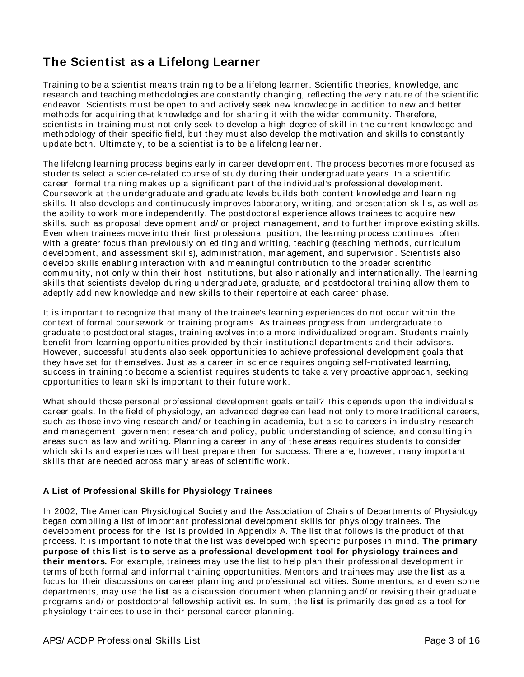# **The Scientist as a Lifelong Learner**

Training to be a scientist means training to be a lifelong learner. Scientific theories, knowledge, and research and teaching methodologies are constantly changing, reflecting the very nature of the scientific endeavor. Scientists must be open to and actively seek new knowledge in addition to new and better methods for acquiring that knowledge and for sharing it with the wider community. Therefore, scientists-in-training must not only seek to develop a high degree of skill in the current knowledge and methodology of their specific field, but they must also develop the motivation and skills to constantly update both. Ultimately, to be a scientist is to be a lifelong learner.

The lifelong learning process begins early in career development. The process becomes more focused as students select a science-related course of study during their undergraduate years. In a scientific career, formal training makes up a significant part of the individual's professional development. Coursework at the undergraduate and graduate levels builds both content knowledge and learning skills. It also develops and continuously improves laboratory, writing, and presentation skills, as well as the ability to work more independently. The postdoctoral experience allows trainees to acquire new skills, such as proposal development and/ or project management, and to further improve existing skills. Even when trainees move into their first professional position, the learning process continues, often with a greater focus than previously on editing and writing, teaching (teaching methods, curriculum development, and assessment skills), administration, management, and supervision. Scientists also develop skills enabling interaction with and meaningful contribution to the broader scientific community, not only within their host institutions, but also nationally and internationally. The learning skills that scientists develop during undergraduate, graduate, and postdoctoral training allow them to adeptly add new knowledge and new skills to their repertoire at each career phase.

It is important to recognize that many of the trainee's learning experiences do not occur within the context of formal coursework or training programs. As trainees progress from undergraduate to graduate to postdoctoral stages, training evolves into a more individualized program. Students mainly benefit from learning opportunities provided by their institutional departments and their advisors. However, successful students also seek opportunities to achieve professional development goals that they have set for themselves. Just as a career in science requires ongoing self-motivated learning, success in training to become a scientist requires students to take a very proactive approach, seeking opportunities to learn skills important to their future work.

What should those personal professional development goals entail? This depends upon the individual's career goals. In the field of physiology, an advanced degree can lead not only to more traditional careers, such as those involving research and/ or teaching in academia, but also to careers in industry research and management, government research and policy, public understanding of science, and consulting in areas such as law and writing. Planning a career in any of these areas requires students to consider which skills and experiences will best prepare them for success. There are, however, many important skills that are needed across many areas of scientific work.

### **A List of Professional Skills for Physiology Trainees**

In 2002, The American Physiological Society and the Association of Chairs of Departments of Physiology began compiling a list of important professional development skills for physiology trainees. The development process for the list is provided in Appendix A. The list that follows is the product of that process. It is important to note that the list was developed with specific purposes in mind. **The primary purpose of this list is to serve as a professional development tool for physiology trainees and their mentors.** For example, trainees may use the list to help plan their professional development in terms of both formal and informal training opportunities. Mentors and trainees may use the **list** as a focus for their discussions on career planning and professional activities. Some mentors, and even some departments, may use the **list** as a discussion document when planning and/ or revising their graduate programs and/ or postdoctoral fellowship activities. In sum, the **list** is primarily designed as a tool for physiology trainees to use in their personal career planning.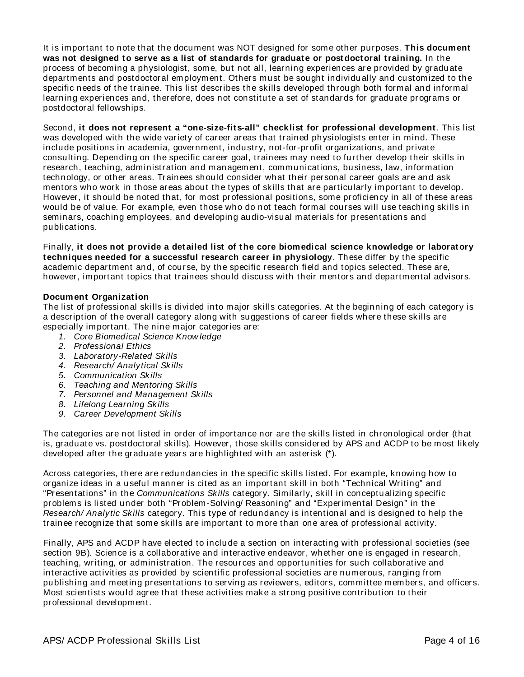It is important to note that the document was NOT designed for some other purposes. **This document was not designed to serve as a list of standards for graduate or postdoctoral training.** In the process of becoming a physiologist, some, but not all, learning experiences are provided by graduate departments and postdoctoral employment. Others must be sought individually and customized to the specific needs of the trainee. This list describes the skills developed through both formal and informal learning experiences and, therefore, does not constitute a set of standards for graduate programs or postdoctoral fellowships.

Second, **it does not represent a "one-size-fits-all" checklist for professional development**. This list was developed with the wide variety of career areas that trained physiologists enter in mind. These include positions in academia, government, industry, not-for-profit organizations, and private consulting. Depending on the specific career goal, trainees may need to further develop their skills in research, teaching, administration and management, communications, business, law, information technology, or other areas. Trainees should consider what their personal career goals are and ask mentors who work in those areas about the types of skills that are particularly important to develop. However, it should be noted that, for most professional positions, some proficiency in all of these areas would be of value. For example, even those who do not teach formal courses will use teaching skills in seminars, coaching employees, and developing audio-visual materials for presentations and publications.

Finally, **it does not provide a detailed list of the core biomedical science knowledge or laboratory techniques needed for a successful research career in physiology**. These differ by the specific academic department and, of course, by the specific research field and topics selected. These are, however, important topics that trainees should discuss with their mentors and departmental advisors.

#### **Document Organization**

The list of professional skills is divided into major skills categories. At the beginning of each category is a description of the overall category along with suggestions of career fields where these skills are especially important. The nine major categories are:

- *1. Core Biomedical Science Know ledge*
- *2. Professional Ethics*
- *3. Laboratory-Related Skills*
- *4. Research/ Analytical Skills*
- *5. Communication Skills*
- *6. Teaching and Mentoring Skills*
- *7. Personnel and Management Skills*
- *8. Lifelong Learning Skills*
- *9. Career Development Skills*

The categories are not listed in order of importance nor are the skills listed in chronological order (that is, graduate vs. postdoctoral skills). However, those skills considered by APS and ACDP to be most likely developed after the graduate years are highlighted with an asterisk (\*).

Across categories, there are redundancies in the specific skills listed. For example, knowing how to organize ideas in a useful manner is cited as an important skill in both "Technical Writing" and "Presentations" in the *Communications Skills* category. Similarly, skill in conceptualizing specific problems is listed under both "Problem-Solving/ Reasoning" and "Experimental Design" in the *Research/ Analytic Skills* category. This type of redundancy is intentional and is designed to help the trainee recognize that some skills are important to more than one area of professional activity.

Finally, APS and ACDP have elected to include a section on interacting with professional societies (see section 9B). Science is a collaborative and interactive endeavor, whether one is engaged in research, teaching, writing, or administration. The resources and opportunities for such collaborative and interactive activities as provided by scientific professional societies are numerous, ranging from publishing and meeting presentations to serving as reviewers, editors, committee members, and officers. Most scientists would agree that these activities make a strong positive contribution to their professional development.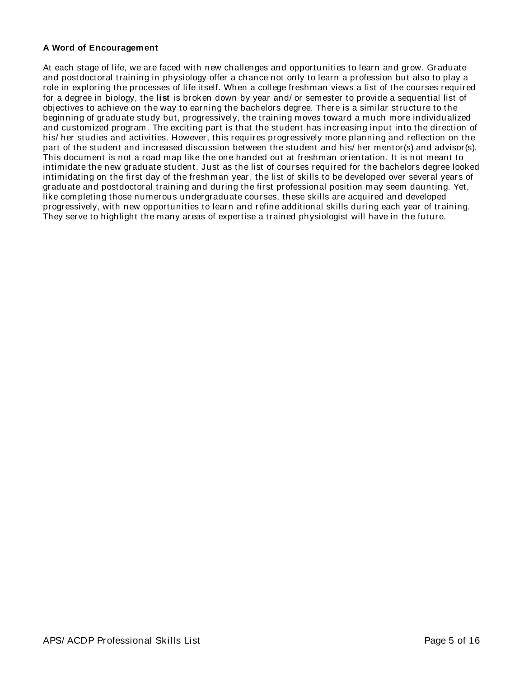#### **A Word of Encouragement**

At each stage of life, we are faced with new challenges and opportunities to learn and grow. Graduate and postdoctoral training in physiology offer a chance not only to learn a profession but also to play a role in exploring the processes of life itself. When a college freshman views a list of the courses required for a degree in biology, the **list** is broken down by year and/ or semester to provide a sequential list of objectives to achieve on the way to earning the bachelors degree. There is a similar structure to the beginning of graduate study but, progressively, the training moves toward a much more individualized and customized program. The exciting part is that the student has increasing input into the direction of his/ her studies and activities. However, this requires progressively more planning and reflection on the part of the student and increased discussion between the student and his/ her mentor(s) and advisor(s). This document is not a road map like the one handed out at freshman orientation. It is not meant to intimidate the new graduate student. Just as the list of courses required for the bachelors degree looked intimidating on the first day of the freshman year, the list of skills to be developed over several years of graduate and postdoctoral training and during the first professional position may seem daunting. Yet, like completing those numerous undergraduate courses, these skills are acquired and developed progressively, with new opportunities to learn and refine additional skills during each year of training. They serve to highlight the many areas of expertise a trained physiologist will have in the future.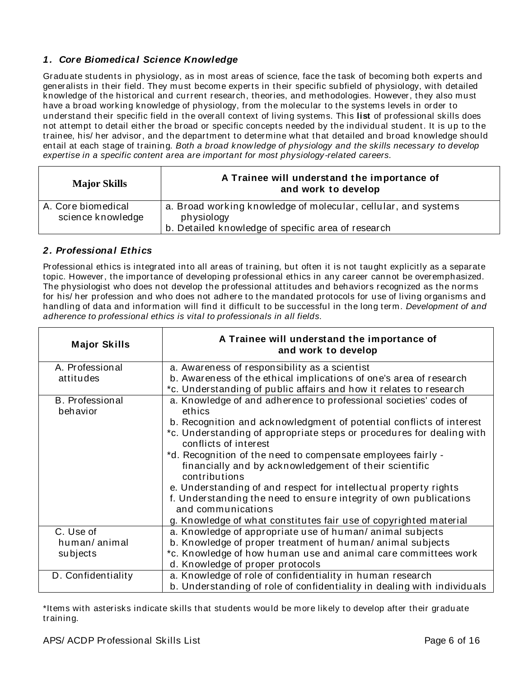### *1. Core Biomedical Science Knowledge*

Graduate students in physiology, as in most areas of science, face the task of becoming both experts and generalists in their field. They must become experts in their specific subfield of physiology, with detailed knowledge of the historical and current research, theories, and methodologies. However, they also must have a broad working knowledge of physiology, from the molecular to the systems levels in order to understand their specific field in the overall context of living systems. This **list** of professional skills does not attempt to detail either the broad or specific concepts needed by the individual student. It is up to the trainee, his/ her advisor, and the department to determine what that detailed and broad knowledge should entail at each stage of training. *Both a broad know ledge of physiology and the skills necessary to develop expertise in a specific content area are important for most physiology-related careers.* 

| <b>Major Skills</b>                     | A Trainee will understand the importance of<br>and work to develop                                                                 |
|-----------------------------------------|------------------------------------------------------------------------------------------------------------------------------------|
| A. Core biomedical<br>science knowledge | a. Broad working knowledge of molecular, cellular, and systems<br>physiology<br>b. Detailed knowledge of specific area of research |

### *2. Professional Ethics*

Professional ethics is integrated into all areas of training, but often it is not taught explicitly as a separate topic. However, the importance of developing professional ethics in any career cannot be overemphasized. The physiologist who does not develop the professional attitudes and behaviors recognized as the norms for his/ her profession and who does not adhere to the mandated protocols for use of living organisms and handling of data and information will find it difficult to be successful in the long term. *Development of and adherence to professional ethics is vital to professionals in all fields.*

| <b>Major Skills</b>                | A Trainee will understand the importance of<br>and work to develop                             |
|------------------------------------|------------------------------------------------------------------------------------------------|
| A. Professional                    | a. Awareness of responsibility as a scientist                                                  |
| attitudes                          | b. Awareness of the ethical implications of one's area of research                             |
|                                    | *c. Understanding of public affairs and how it relates to research                             |
| <b>B.</b> Professional<br>behavior | a. Knowledge of and adherence to professional societies' codes of<br>ethics                    |
|                                    | b. Recognition and acknowledgment of potential conflicts of interest                           |
|                                    | *c. Understanding of appropriate steps or procedures for dealing with<br>conflicts of interest |
|                                    | *d. Recognition of the need to compensate employees fairly -                                   |
|                                    | financially and by acknowledgement of their scientific<br>contributions                        |
|                                    | e. Understanding of and respect for intellectual property rights                               |
|                                    | f. Understanding the need to ensure integrity of own publications<br>and communications        |
|                                    | g. Knowledge of what constitutes fair use of copyrighted material                              |
| C. Use of                          | a. Knowledge of appropriate use of human/animal subjects                                       |
| human/animal                       | b. Knowledge of proper treatment of human/animal subjects                                      |
| subjects                           | *c. Knowledge of how human use and animal care committees work                                 |
|                                    | d. Knowledge of proper protocols                                                               |
| D. Confidentiality                 | a. Knowledge of role of confidentiality in human research                                      |
|                                    | b. Understanding of role of confidentiality in dealing with individuals                        |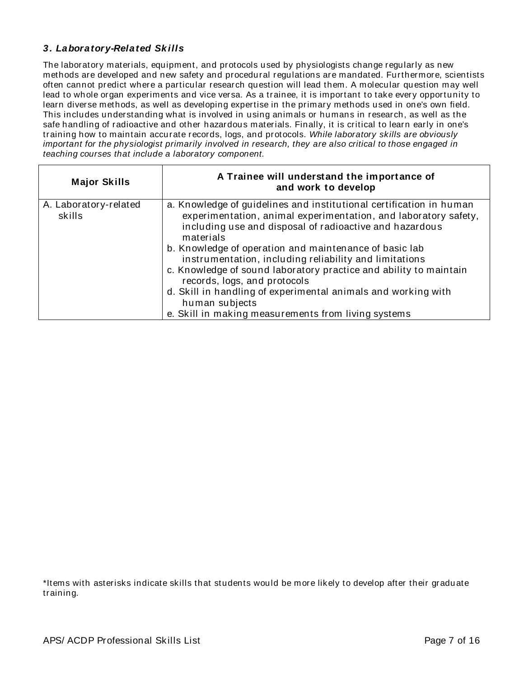### *3. Laboratory-Related Sk ills*

The laboratory materials, equipment, and protocols used by physiologists change regularly as new methods are developed and new safety and procedural regulations are mandated. Furthermore, scientists often cannot predict where a particular research question will lead them. A molecular question may well lead to whole organ experiments and vice versa. As a trainee, it is important to take every opportunity to learn diverse methods, as well as developing expertise in the primary methods used in one's own field. This includes understanding what is involved in using animals or humans in research, as well as the safe handling of radioactive and other hazardous materials. Finally, it is critical to learn early in one's training how to maintain accurate records, logs, and protocols. *While laboratory skills are obviously important for the physiologist primarily involved in research, they are also critical to those engaged in teaching courses that include a laboratory component.*

| <b>Major Skills</b>             | A Trainee will understand the importance of<br>and work to develop                                                                                                                                                                                                                                                                                                                                                                                                                                                                                                                |
|---------------------------------|-----------------------------------------------------------------------------------------------------------------------------------------------------------------------------------------------------------------------------------------------------------------------------------------------------------------------------------------------------------------------------------------------------------------------------------------------------------------------------------------------------------------------------------------------------------------------------------|
| A. Laboratory-related<br>skills | a. Knowledge of guidelines and institutional certification in human<br>experimentation, animal experimentation, and laboratory safety,<br>including use and disposal of radioactive and hazardous<br>materials<br>b. Knowledge of operation and maintenance of basic lab<br>instrumentation, including reliability and limitations<br>c. Knowledge of sound laboratory practice and ability to maintain<br>records, logs, and protocols<br>d. Skill in handling of experimental animals and working with<br>human subjects<br>e. Skill in making measurements from living systems |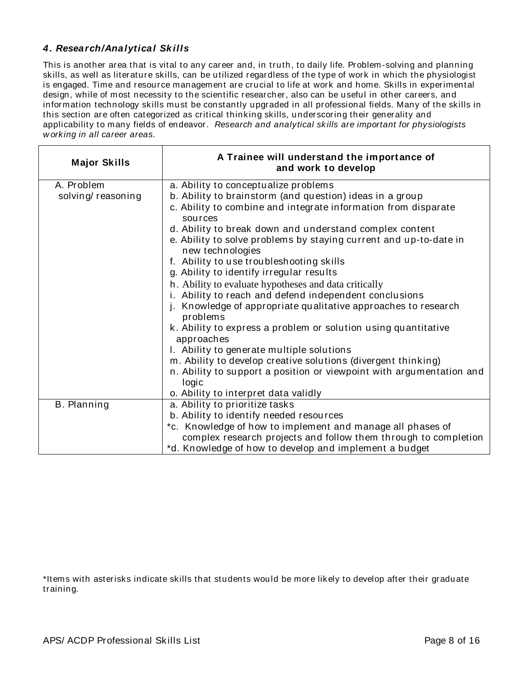### *4. Research/Analytical Sk ills*

This is another area that is vital to any career and, in truth, to daily life. Problem-solving and planning skills, as well as literature skills, can be utilized regardless of the type of work in which the physiologist is engaged. Time and resource management are crucial to life at work and home. Skills in experimental design, while of most necessity to the scientific researcher, also can be u seful in other careers, and information technology skills must be constantly upgraded in all professional fields. Many of the skills in this section are often categorized as critical thinking skills, underscoring their generality and applicability to many fields of endeavor. *Research and analytical skills are important for physiologists w orking in all career areas.* 

| <b>Major Skills</b> | A Trainee will understand the importance of<br>and work to develop                    |
|---------------------|---------------------------------------------------------------------------------------|
| A. Problem          | a. Ability to conceptualize problems                                                  |
| solving/reasoning   | b. Ability to brainstorm (and question) ideas in a group                              |
|                     | c. Ability to combine and integrate information from disparate<br>sources             |
|                     | d. Ability to break down and understand complex content                               |
|                     | e. Ability to solve problems by staying current and up-to-date in<br>new technologies |
|                     | f. Ability to use troubleshooting skills                                              |
|                     | g. Ability to identify irregular results                                              |
|                     | h. Ability to evaluate hypotheses and data critically                                 |
|                     | i. Ability to reach and defend independent conclusions                                |
|                     | Knowledge of appropriate qualitative approaches to research<br>Ť.<br>problems         |
|                     | k. Ability to express a problem or solution using quantitative<br>approaches          |
|                     | I. Ability to generate multiple solutions                                             |
|                     | m. Ability to develop creative solutions (divergent thinking)                         |
|                     | n. Ability to support a position or viewpoint with argumentation and<br>logic         |
|                     | o. Ability to interpret data validly                                                  |
| B. Planning         | a. Ability to prioritize tasks                                                        |
|                     | b. Ability to identify needed resources                                               |
|                     | *c. Knowledge of how to implement and manage all phases of                            |
|                     | complex research projects and follow them through to completion                       |
|                     | *d. Knowledge of how to develop and implement a budget                                |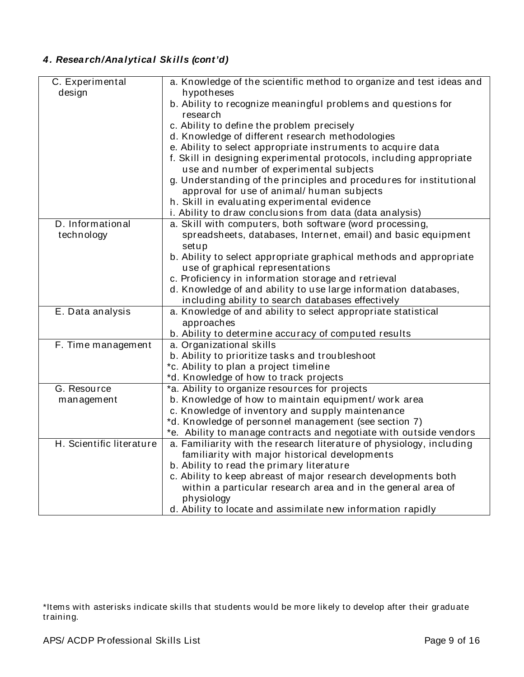# *4. Research/Analytical Sk ills (cont'd)*

| C. Experimental<br>design<br>hypotheses<br>b. Ability to recognize meaningful problems and questions for<br>research<br>c. Ability to define the problem precisely<br>d. Knowledge of different research methodologies<br>e. Ability to select appropriate instruments to acquire data<br>f. Skill in designing experimental protocols, including appropriate<br>use and number of experimental subjects<br>g. Understanding of the principles and procedures for institutional<br>approval for use of animal/ human subjects<br>h. Skill in evaluating experimental evidence<br>i. Ability to draw conclusions from data (data analysis)<br>a. Skill with computers, both software (word processing,<br>D. Informational<br>spreadsheets, databases, Internet, email) and basic equipment<br>technology<br>setup<br>b. Ability to select appropriate graphical methods and appropriate<br>use of graphical representations<br>c. Proficiency in information storage and retrieval<br>d. Knowledge of and ability to use large information databases,<br>including ability to search databases effectively<br>a. Knowledge of and ability to select appropriate statistical<br>E. Data analysis<br>approaches<br>b. Ability to determine accuracy of computed results<br>a. Organizational skills<br>F. Time management<br>b. Ability to prioritize tasks and troubleshoot<br>*c. Ability to plan a project timeline<br>*d. Knowledge of how to track projects<br>G. Resource<br>*a. Ability to organize resources for projects<br>b. Knowledge of how to maintain equipment/ work area<br>management<br>c. Knowledge of inventory and supply maintenance<br>*d. Knowledge of personnel management (see section 7) |                                                                      |
|--------------------------------------------------------------------------------------------------------------------------------------------------------------------------------------------------------------------------------------------------------------------------------------------------------------------------------------------------------------------------------------------------------------------------------------------------------------------------------------------------------------------------------------------------------------------------------------------------------------------------------------------------------------------------------------------------------------------------------------------------------------------------------------------------------------------------------------------------------------------------------------------------------------------------------------------------------------------------------------------------------------------------------------------------------------------------------------------------------------------------------------------------------------------------------------------------------------------------------------------------------------------------------------------------------------------------------------------------------------------------------------------------------------------------------------------------------------------------------------------------------------------------------------------------------------------------------------------------------------------------------------------------------------------------------------------------------------------|----------------------------------------------------------------------|
|                                                                                                                                                                                                                                                                                                                                                                                                                                                                                                                                                                                                                                                                                                                                                                                                                                                                                                                                                                                                                                                                                                                                                                                                                                                                                                                                                                                                                                                                                                                                                                                                                                                                                                                    | a. Knowledge of the scientific method to organize and test ideas and |
|                                                                                                                                                                                                                                                                                                                                                                                                                                                                                                                                                                                                                                                                                                                                                                                                                                                                                                                                                                                                                                                                                                                                                                                                                                                                                                                                                                                                                                                                                                                                                                                                                                                                                                                    |                                                                      |
|                                                                                                                                                                                                                                                                                                                                                                                                                                                                                                                                                                                                                                                                                                                                                                                                                                                                                                                                                                                                                                                                                                                                                                                                                                                                                                                                                                                                                                                                                                                                                                                                                                                                                                                    |                                                                      |
|                                                                                                                                                                                                                                                                                                                                                                                                                                                                                                                                                                                                                                                                                                                                                                                                                                                                                                                                                                                                                                                                                                                                                                                                                                                                                                                                                                                                                                                                                                                                                                                                                                                                                                                    |                                                                      |
|                                                                                                                                                                                                                                                                                                                                                                                                                                                                                                                                                                                                                                                                                                                                                                                                                                                                                                                                                                                                                                                                                                                                                                                                                                                                                                                                                                                                                                                                                                                                                                                                                                                                                                                    |                                                                      |
|                                                                                                                                                                                                                                                                                                                                                                                                                                                                                                                                                                                                                                                                                                                                                                                                                                                                                                                                                                                                                                                                                                                                                                                                                                                                                                                                                                                                                                                                                                                                                                                                                                                                                                                    |                                                                      |
|                                                                                                                                                                                                                                                                                                                                                                                                                                                                                                                                                                                                                                                                                                                                                                                                                                                                                                                                                                                                                                                                                                                                                                                                                                                                                                                                                                                                                                                                                                                                                                                                                                                                                                                    |                                                                      |
|                                                                                                                                                                                                                                                                                                                                                                                                                                                                                                                                                                                                                                                                                                                                                                                                                                                                                                                                                                                                                                                                                                                                                                                                                                                                                                                                                                                                                                                                                                                                                                                                                                                                                                                    |                                                                      |
|                                                                                                                                                                                                                                                                                                                                                                                                                                                                                                                                                                                                                                                                                                                                                                                                                                                                                                                                                                                                                                                                                                                                                                                                                                                                                                                                                                                                                                                                                                                                                                                                                                                                                                                    |                                                                      |
|                                                                                                                                                                                                                                                                                                                                                                                                                                                                                                                                                                                                                                                                                                                                                                                                                                                                                                                                                                                                                                                                                                                                                                                                                                                                                                                                                                                                                                                                                                                                                                                                                                                                                                                    |                                                                      |
|                                                                                                                                                                                                                                                                                                                                                                                                                                                                                                                                                                                                                                                                                                                                                                                                                                                                                                                                                                                                                                                                                                                                                                                                                                                                                                                                                                                                                                                                                                                                                                                                                                                                                                                    |                                                                      |
|                                                                                                                                                                                                                                                                                                                                                                                                                                                                                                                                                                                                                                                                                                                                                                                                                                                                                                                                                                                                                                                                                                                                                                                                                                                                                                                                                                                                                                                                                                                                                                                                                                                                                                                    |                                                                      |
|                                                                                                                                                                                                                                                                                                                                                                                                                                                                                                                                                                                                                                                                                                                                                                                                                                                                                                                                                                                                                                                                                                                                                                                                                                                                                                                                                                                                                                                                                                                                                                                                                                                                                                                    |                                                                      |
|                                                                                                                                                                                                                                                                                                                                                                                                                                                                                                                                                                                                                                                                                                                                                                                                                                                                                                                                                                                                                                                                                                                                                                                                                                                                                                                                                                                                                                                                                                                                                                                                                                                                                                                    |                                                                      |
|                                                                                                                                                                                                                                                                                                                                                                                                                                                                                                                                                                                                                                                                                                                                                                                                                                                                                                                                                                                                                                                                                                                                                                                                                                                                                                                                                                                                                                                                                                                                                                                                                                                                                                                    |                                                                      |
|                                                                                                                                                                                                                                                                                                                                                                                                                                                                                                                                                                                                                                                                                                                                                                                                                                                                                                                                                                                                                                                                                                                                                                                                                                                                                                                                                                                                                                                                                                                                                                                                                                                                                                                    |                                                                      |
|                                                                                                                                                                                                                                                                                                                                                                                                                                                                                                                                                                                                                                                                                                                                                                                                                                                                                                                                                                                                                                                                                                                                                                                                                                                                                                                                                                                                                                                                                                                                                                                                                                                                                                                    |                                                                      |
|                                                                                                                                                                                                                                                                                                                                                                                                                                                                                                                                                                                                                                                                                                                                                                                                                                                                                                                                                                                                                                                                                                                                                                                                                                                                                                                                                                                                                                                                                                                                                                                                                                                                                                                    |                                                                      |
|                                                                                                                                                                                                                                                                                                                                                                                                                                                                                                                                                                                                                                                                                                                                                                                                                                                                                                                                                                                                                                                                                                                                                                                                                                                                                                                                                                                                                                                                                                                                                                                                                                                                                                                    |                                                                      |
|                                                                                                                                                                                                                                                                                                                                                                                                                                                                                                                                                                                                                                                                                                                                                                                                                                                                                                                                                                                                                                                                                                                                                                                                                                                                                                                                                                                                                                                                                                                                                                                                                                                                                                                    |                                                                      |
|                                                                                                                                                                                                                                                                                                                                                                                                                                                                                                                                                                                                                                                                                                                                                                                                                                                                                                                                                                                                                                                                                                                                                                                                                                                                                                                                                                                                                                                                                                                                                                                                                                                                                                                    |                                                                      |
|                                                                                                                                                                                                                                                                                                                                                                                                                                                                                                                                                                                                                                                                                                                                                                                                                                                                                                                                                                                                                                                                                                                                                                                                                                                                                                                                                                                                                                                                                                                                                                                                                                                                                                                    |                                                                      |
|                                                                                                                                                                                                                                                                                                                                                                                                                                                                                                                                                                                                                                                                                                                                                                                                                                                                                                                                                                                                                                                                                                                                                                                                                                                                                                                                                                                                                                                                                                                                                                                                                                                                                                                    |                                                                      |
|                                                                                                                                                                                                                                                                                                                                                                                                                                                                                                                                                                                                                                                                                                                                                                                                                                                                                                                                                                                                                                                                                                                                                                                                                                                                                                                                                                                                                                                                                                                                                                                                                                                                                                                    |                                                                      |
|                                                                                                                                                                                                                                                                                                                                                                                                                                                                                                                                                                                                                                                                                                                                                                                                                                                                                                                                                                                                                                                                                                                                                                                                                                                                                                                                                                                                                                                                                                                                                                                                                                                                                                                    |                                                                      |
|                                                                                                                                                                                                                                                                                                                                                                                                                                                                                                                                                                                                                                                                                                                                                                                                                                                                                                                                                                                                                                                                                                                                                                                                                                                                                                                                                                                                                                                                                                                                                                                                                                                                                                                    |                                                                      |
|                                                                                                                                                                                                                                                                                                                                                                                                                                                                                                                                                                                                                                                                                                                                                                                                                                                                                                                                                                                                                                                                                                                                                                                                                                                                                                                                                                                                                                                                                                                                                                                                                                                                                                                    |                                                                      |
|                                                                                                                                                                                                                                                                                                                                                                                                                                                                                                                                                                                                                                                                                                                                                                                                                                                                                                                                                                                                                                                                                                                                                                                                                                                                                                                                                                                                                                                                                                                                                                                                                                                                                                                    |                                                                      |
|                                                                                                                                                                                                                                                                                                                                                                                                                                                                                                                                                                                                                                                                                                                                                                                                                                                                                                                                                                                                                                                                                                                                                                                                                                                                                                                                                                                                                                                                                                                                                                                                                                                                                                                    |                                                                      |
|                                                                                                                                                                                                                                                                                                                                                                                                                                                                                                                                                                                                                                                                                                                                                                                                                                                                                                                                                                                                                                                                                                                                                                                                                                                                                                                                                                                                                                                                                                                                                                                                                                                                                                                    |                                                                      |
|                                                                                                                                                                                                                                                                                                                                                                                                                                                                                                                                                                                                                                                                                                                                                                                                                                                                                                                                                                                                                                                                                                                                                                                                                                                                                                                                                                                                                                                                                                                                                                                                                                                                                                                    |                                                                      |
|                                                                                                                                                                                                                                                                                                                                                                                                                                                                                                                                                                                                                                                                                                                                                                                                                                                                                                                                                                                                                                                                                                                                                                                                                                                                                                                                                                                                                                                                                                                                                                                                                                                                                                                    | *e. Ability to manage contracts and negotiate with outside vendors   |
| H. Scientific literature<br>a. Familiarity with the research literature of physiology, including                                                                                                                                                                                                                                                                                                                                                                                                                                                                                                                                                                                                                                                                                                                                                                                                                                                                                                                                                                                                                                                                                                                                                                                                                                                                                                                                                                                                                                                                                                                                                                                                                   |                                                                      |
| familiarity with major historical developments                                                                                                                                                                                                                                                                                                                                                                                                                                                                                                                                                                                                                                                                                                                                                                                                                                                                                                                                                                                                                                                                                                                                                                                                                                                                                                                                                                                                                                                                                                                                                                                                                                                                     |                                                                      |
| b. Ability to read the primary literature                                                                                                                                                                                                                                                                                                                                                                                                                                                                                                                                                                                                                                                                                                                                                                                                                                                                                                                                                                                                                                                                                                                                                                                                                                                                                                                                                                                                                                                                                                                                                                                                                                                                          |                                                                      |
| c. Ability to keep abreast of major research developments both                                                                                                                                                                                                                                                                                                                                                                                                                                                                                                                                                                                                                                                                                                                                                                                                                                                                                                                                                                                                                                                                                                                                                                                                                                                                                                                                                                                                                                                                                                                                                                                                                                                     |                                                                      |
| within a particular research area and in the general area of                                                                                                                                                                                                                                                                                                                                                                                                                                                                                                                                                                                                                                                                                                                                                                                                                                                                                                                                                                                                                                                                                                                                                                                                                                                                                                                                                                                                                                                                                                                                                                                                                                                       |                                                                      |
| physiology                                                                                                                                                                                                                                                                                                                                                                                                                                                                                                                                                                                                                                                                                                                                                                                                                                                                                                                                                                                                                                                                                                                                                                                                                                                                                                                                                                                                                                                                                                                                                                                                                                                                                                         |                                                                      |
| d. Ability to locate and assimilate new information rapidly                                                                                                                                                                                                                                                                                                                                                                                                                                                                                                                                                                                                                                                                                                                                                                                                                                                                                                                                                                                                                                                                                                                                                                                                                                                                                                                                                                                                                                                                                                                                                                                                                                                        |                                                                      |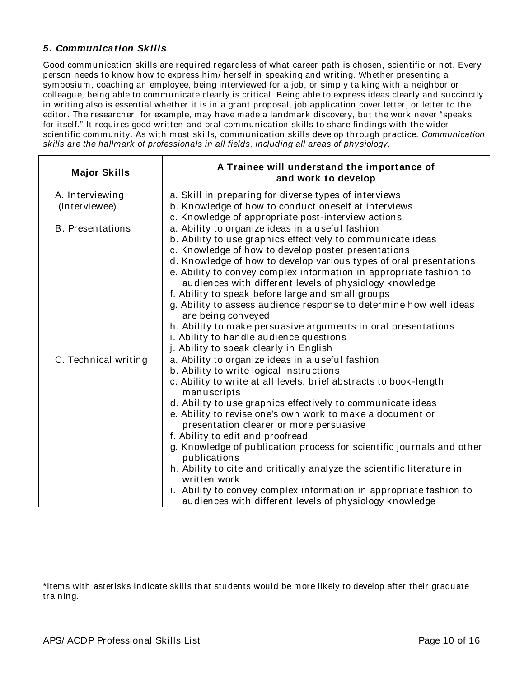### *5. Communication Sk ills*

Good communication skills are required regardless of what career path is chosen, scientific or not. Every person needs to know how to express him/ herself in speaking and writing. Whether presenting a symposium, coaching an employee, being interviewed for a job, or simply talking with a neighbor or colleague, being able to communicate clearly is critical. Being able to express ideas clearly and succinctly in writing also is essential whether it is in a grant proposal, job application cover letter, or letter to the editor. The researcher, for example, may have made a landmark discovery, but the work never "speaks for itself." It requires good written and oral communication skills to share findings with the wider scientific community. As with most skills, communication skills develop through practice. *Communication skills are the hallmark of professionals in all fields, including all areas of physiology.* 

| <b>Major Skills</b>     | A Trainee will understand the importance of<br>and work to develop                                                            |
|-------------------------|-------------------------------------------------------------------------------------------------------------------------------|
| A. Interviewing         | a. Skill in preparing for diverse types of interviews                                                                         |
| (Interviewee)           | b. Knowledge of how to conduct oneself at interviews                                                                          |
|                         | c. Knowledge of appropriate post-interview actions                                                                            |
| <b>B.</b> Presentations | a. Ability to organize ideas in a useful fashion                                                                              |
|                         | b. Ability to use graphics effectively to communicate ideas                                                                   |
|                         | c. Knowledge of how to develop poster presentations                                                                           |
|                         | d. Knowledge of how to develop various types of oral presentations                                                            |
|                         | e. Ability to convey complex information in appropriate fashion to<br>audiences with different levels of physiology knowledge |
|                         | f. Ability to speak before large and small groups                                                                             |
|                         | g. Ability to assess audience response to determine how well ideas                                                            |
|                         | are being conveyed                                                                                                            |
|                         | h. Ability to make persuasive arguments in oral presentations                                                                 |
|                         | i. Ability to handle audience questions                                                                                       |
|                         | j. Ability to speak clearly in English                                                                                        |
| C. Technical writing    | a. Ability to organize ideas in a useful fashion                                                                              |
|                         | b. Ability to write logical instructions                                                                                      |
|                         | c. Ability to write at all levels: brief abstracts to book-length                                                             |
|                         | manuscripts                                                                                                                   |
|                         | d. Ability to use graphics effectively to communicate ideas<br>e. Ability to revise one's own work to make a document or      |
|                         | presentation clearer or more persuasive                                                                                       |
|                         | f. Ability to edit and proofread                                                                                              |
|                         | g. Knowledge of publication process for scientific journals and other                                                         |
|                         | publications                                                                                                                  |
|                         | h. Ability to cite and critically analyze the scientific literature in                                                        |
|                         | written work                                                                                                                  |
|                         | i. Ability to convey complex information in appropriate fashion to<br>audiences with different levels of physiology knowledge |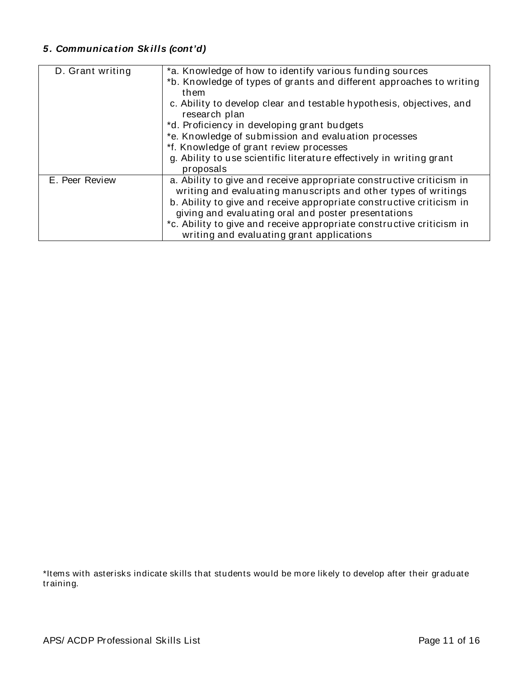## *5. Communication Sk ills (cont'd)*

| D. Grant writing | *a. Knowledge of how to identify various funding sources                              |
|------------------|---------------------------------------------------------------------------------------|
|                  | *b. Knowledge of types of grants and different approaches to writing                  |
|                  | them                                                                                  |
|                  | c. Ability to develop clear and testable hypothesis, objectives, and<br>research plan |
|                  | *d. Proficiency in developing grant budgets                                           |
|                  | *e. Knowledge of submission and evaluation processes                                  |
|                  | *f. Knowledge of grant review processes                                               |
|                  | g. Ability to use scientific literature effectively in writing grant                  |
|                  | proposals                                                                             |
| E. Peer Review   | a. Ability to give and receive appropriate constructive criticism in                  |
|                  | writing and evaluating manuscripts and other types of writings                        |
|                  | b. Ability to give and receive appropriate constructive criticism in                  |
|                  | giving and evaluating oral and poster presentations                                   |
|                  | *c. Ability to give and receive appropriate constructive criticism in                 |
|                  | writing and evaluating grant applications                                             |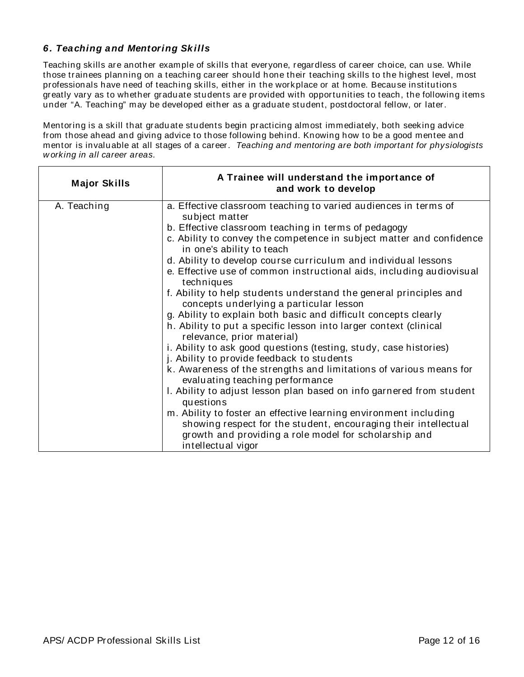### *6. Teaching and Mentoring Sk ills*

Teaching skills are another example of skills that everyone, regardless of career choice, can use. While those trainees planning on a teaching career should hone their teaching skills to the highest level, most professionals have need of teaching skills, either in the workplace or at home. Because institutions greatly vary as to whether graduate students are provided with opportunities to teach, the following items under "A. Teaching" may be developed either as a graduate student, postdoctoral fellow, or later.

Mentoring is a skill that graduate students begin practicing almost immediately, both seeking advice from those ahead and giving advice to those following behind. Knowing how to be a good mentee and mentor is invaluable at all stages of a career. *Teaching and mentoring are both important for physiologists w orking in all career areas.*

| <b>Major Skills</b> | A Trainee will understand the importance of<br>and work to develop                                                                                                                                                 |
|---------------------|--------------------------------------------------------------------------------------------------------------------------------------------------------------------------------------------------------------------|
| A. Teaching         | a. Effective classroom teaching to varied audiences in terms of<br>subject matter                                                                                                                                  |
|                     | b. Effective classroom teaching in terms of pedagogy                                                                                                                                                               |
|                     | c. Ability to convey the competence in subject matter and confidence<br>in one's ability to teach                                                                                                                  |
|                     | d. Ability to develop course curriculum and individual lessons                                                                                                                                                     |
|                     | e. Effective use of common instructional aids, including audiovisual<br>techniques                                                                                                                                 |
|                     | f. Ability to help students understand the general principles and<br>concepts underlying a particular lesson                                                                                                       |
|                     | g. Ability to explain both basic and difficult concepts clearly                                                                                                                                                    |
|                     | h. Ability to put a specific lesson into larger context (clinical<br>relevance, prior material)                                                                                                                    |
|                     | i. Ability to ask good questions (testing, study, case histories)<br>j. Ability to provide feedback to students                                                                                                    |
|                     | k. Awareness of the strengths and limitations of various means for<br>evaluating teaching performance                                                                                                              |
|                     | I. Ability to adjust lesson plan based on info garnered from student<br>questions                                                                                                                                  |
|                     | m. Ability to foster an effective learning environment including<br>showing respect for the student, encouraging their intellectual<br>growth and providing a role model for scholarship and<br>intellectual vigor |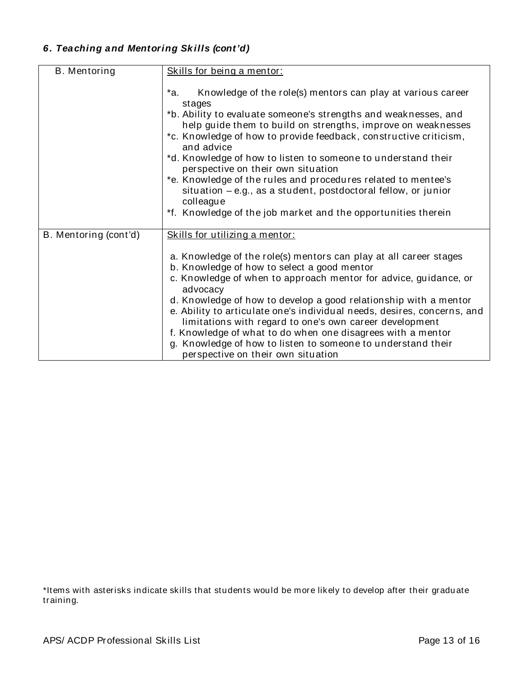## *6. Teaching and Mentoring Sk ills (cont'd)*

| B. Mentoring          | Skills for being a mentor:                                                                                                                                                                                                                                                                                                                                                                                                                                                                                                                                                                                                   |
|-----------------------|------------------------------------------------------------------------------------------------------------------------------------------------------------------------------------------------------------------------------------------------------------------------------------------------------------------------------------------------------------------------------------------------------------------------------------------------------------------------------------------------------------------------------------------------------------------------------------------------------------------------------|
|                       | *a.<br>Knowledge of the role(s) mentors can play at various career<br>stages<br>*b. Ability to evaluate someone's strengths and weaknesses, and<br>help guide them to build on strengths, improve on weaknesses<br>*c. Knowledge of how to provide feedback, constructive criticism,<br>and advice<br>*d. Knowledge of how to listen to someone to understand their<br>perspective on their own situation<br>*e. Knowledge of the rules and procedures related to mentee's<br>$situation - e.g.,$ as a student, postdoctoral fellow, or junior<br>colleague<br>*f. Knowledge of the job market and the opportunities therein |
| B. Mentoring (cont'd) | Skills for utilizing a mentor:<br>a. Knowledge of the role(s) mentors can play at all career stages<br>b. Knowledge of how to select a good mentor<br>c. Knowledge of when to approach mentor for advice, guidance, or<br>advocacy<br>d. Knowledge of how to develop a good relationship with a mentor<br>e. Ability to articulate one's individual needs, desires, concerns, and<br>limitations with regard to one's own career development<br>f. Knowledge of what to do when one disagrees with a mentor<br>g. Knowledge of how to listen to someone to understand their<br>perspective on their own situation            |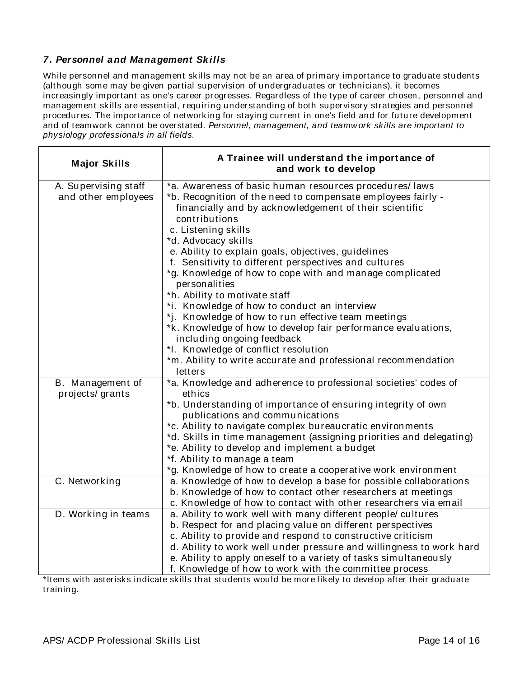### *7. Personnel and Management Sk ills*

While personnel and management skills may not be an area of primary importance to graduate students (although some may be given partial supervision of undergraduates or technicians), it becomes increasingly important as one's career progresses. Regardless of the type of career chosen, personnel and management skills are essential, requiring understanding of both supervisory strategies and personnel procedures. The importance of networking for staying current in one's field and for future development and of teamwork cannot be overstated. *Personnel, management, and teamw ork skills are important to physiology professionals in all fields.* 

| <b>Major Skills</b>                         | A Trainee will understand the importance of<br>and work to develop                                                                                                                                                                                                                                                                                                                                                                                                                                                                                                                                                                                                                                                                                                                                      |
|---------------------------------------------|---------------------------------------------------------------------------------------------------------------------------------------------------------------------------------------------------------------------------------------------------------------------------------------------------------------------------------------------------------------------------------------------------------------------------------------------------------------------------------------------------------------------------------------------------------------------------------------------------------------------------------------------------------------------------------------------------------------------------------------------------------------------------------------------------------|
| A. Supervising staff<br>and other employees | *a. Awareness of basic human resources procedures/laws<br>*b. Recognition of the need to compensate employees fairly -<br>financially and by acknowledgement of their scientific<br>contributions<br>c. Listening skills<br>*d. Advocacy skills<br>e. Ability to explain goals, objectives, guidelines<br>f. Sensitivity to different perspectives and cultures<br>*g. Knowledge of how to cope with and manage complicated<br>personalities<br>*h. Ability to motivate staff<br>*i. Knowledge of how to conduct an interview<br>*j. Knowledge of how to run effective team meetings<br>*k. Knowledge of how to develop fair performance evaluations,<br>including ongoing feedback<br>*I. Knowledge of conflict resolution<br>*m. Ability to write accurate and professional recommendation<br>letters |
| B. Management of                            | *a. Knowledge and adherence to professional societies' codes of                                                                                                                                                                                                                                                                                                                                                                                                                                                                                                                                                                                                                                                                                                                                         |
| projects/grants                             | ethics<br>*b. Understanding of importance of ensuring integrity of own<br>publications and communications<br>*c. Ability to navigate complex bureaucratic environments<br>*d. Skills in time management (assigning priorities and delegating)<br>*e. Ability to develop and implement a budget<br>*f. Ability to manage a team<br>*g. Knowledge of how to create a cooperative work environment                                                                                                                                                                                                                                                                                                                                                                                                         |
| C. Networking                               | a. Knowledge of how to develop a base for possible collaborations<br>b. Knowledge of how to contact other researchers at meetings<br>c. Knowledge of how to contact with other researchers via email                                                                                                                                                                                                                                                                                                                                                                                                                                                                                                                                                                                                    |
| D. Working in teams                         | a. Ability to work well with many different people/ cultures<br>b. Respect for and placing value on different perspectives<br>c. Ability to provide and respond to constructive criticism<br>d. Ability to work well under pressure and willingness to work hard<br>e. Ability to apply oneself to a variety of tasks simultaneously<br>f. Knowledge of how to work with the committee process                                                                                                                                                                                                                                                                                                                                                                                                          |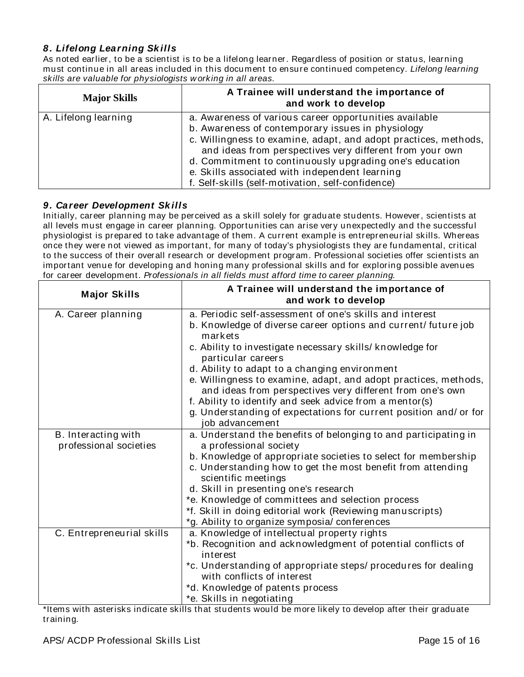### *8. Lifelong Learning Sk ills*

As noted earlier, to be a scientist is to be a lifelong learner. Regardless of position or status, learning must continue in all areas included in this document to ensure continued competency. *Lifelong learning skills are valuable for physiologists w orking in all areas.* 

| <b>Major Skills</b>  | A Trainee will understand the importance of<br>and work to develop                                                          |
|----------------------|-----------------------------------------------------------------------------------------------------------------------------|
| A. Lifelong learning | a. Awareness of various career opportunities available                                                                      |
|                      | b. Awareness of contemporary issues in physiology                                                                           |
|                      | c. Willingness to examine, adapt, and adopt practices, methods,<br>and ideas from perspectives very different from your own |
|                      | d. Commitment to continuously upgrading one's education                                                                     |
|                      | e. Skills associated with independent learning                                                                              |
|                      | f. Self-skills (self-motivation, self-confidence)                                                                           |

### *9. Career Development Sk ills*

Initially, career planning may be perceived as a skill solely for graduate students. However, scientists at all levels must engage in career planning. Opportunities can arise very unexpectedly and the successful physiologist is prepared to take advantage of them. A current example is entrepreneurial skills. Whereas once they were not viewed as important, for many of today's physiologists they are fundamental, critical to the success of their overall research or development program. Professional societies offer scientists an important venue for developing and honing many professional skills and for exploring possible avenues for career development. *Professionals in all fields must afford time to career planning.* 

| <b>Major Skills</b>                           | A Trainee will understand the importance of<br>and work to develop                                                           |
|-----------------------------------------------|------------------------------------------------------------------------------------------------------------------------------|
| A. Career planning                            | a. Periodic self-assessment of one's skills and interest                                                                     |
|                                               | b. Knowledge of diverse career options and current/future job<br>markets                                                     |
|                                               | c. Ability to investigate necessary skills/ knowledge for<br>particular careers                                              |
|                                               | d. Ability to adapt to a changing environment                                                                                |
|                                               | e. Willingness to examine, adapt, and adopt practices, methods,<br>and ideas from perspectives very different from one's own |
|                                               | f. Ability to identify and seek advice from a mentor(s)                                                                      |
|                                               | g. Understanding of expectations for current position and/ or for                                                            |
|                                               | job advancement                                                                                                              |
| B. Interacting with<br>professional societies | a. Understand the benefits of belonging to and participating in<br>a professional society                                    |
|                                               | b. Knowledge of appropriate societies to select for membership                                                               |
|                                               | c. Understanding how to get the most benefit from attending<br>scientific meetings                                           |
|                                               | d. Skill in presenting one's research                                                                                        |
|                                               | *e. Knowledge of committees and selection process                                                                            |
|                                               | *f. Skill in doing editorial work (Reviewing manuscripts)                                                                    |
|                                               | *g. Ability to organize symposia/conferences                                                                                 |
| C. Entrepreneurial skills                     | a. Knowledge of intellectual property rights                                                                                 |
|                                               | *b. Recognition and acknowledgment of potential conflicts of<br>interest                                                     |
|                                               | *c. Understanding of appropriate steps/ procedures for dealing                                                               |
|                                               | with conflicts of interest                                                                                                   |
|                                               | *d. Knowledge of patents process                                                                                             |
|                                               | *e. Skills in negotiating                                                                                                    |